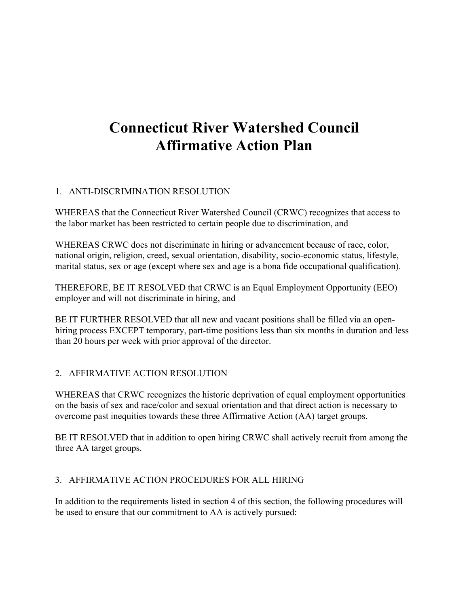# **Connecticut River Watershed Council Affirmative Action Plan**

## 1. ANTI-DISCRIMINATION RESOLUTION

WHEREAS that the Connecticut River Watershed Council (CRWC) recognizes that access to the labor market has been restricted to certain people due to discrimination, and

WHEREAS CRWC does not discriminate in hiring or advancement because of race, color, national origin, religion, creed, sexual orientation, disability, socio-economic status, lifestyle, marital status, sex or age (except where sex and age is a bona fide occupational qualification).

THEREFORE, BE IT RESOLVED that CRWC is an Equal Employment Opportunity (EEO) employer and will not discriminate in hiring, and

BE IT FURTHER RESOLVED that all new and vacant positions shall be filled via an openhiring process EXCEPT temporary, part-time positions less than six months in duration and less than 20 hours per week with prior approval of the director.

### 2. AFFIRMATIVE ACTION RESOLUTION

WHEREAS that CRWC recognizes the historic deprivation of equal employment opportunities on the basis of sex and race/color and sexual orientation and that direct action is necessary to overcome past inequities towards these three Affirmative Action (AA) target groups.

BE IT RESOLVED that in addition to open hiring CRWC shall actively recruit from among the three AA target groups.

#### 3. AFFIRMATIVE ACTION PROCEDURES FOR ALL HIRING

In addition to the requirements listed in section 4 of this section, the following procedures will be used to ensure that our commitment to AA is actively pursued: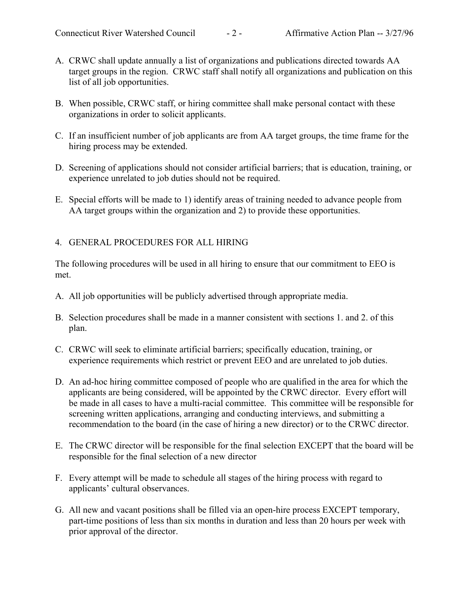- A. CRWC shall update annually a list of organizations and publications directed towards AA target groups in the region. CRWC staff shall notify all organizations and publication on this list of all job opportunities.
- B. When possible, CRWC staff, or hiring committee shall make personal contact with these organizations in order to solicit applicants.
- C. If an insufficient number of job applicants are from AA target groups, the time frame for the hiring process may be extended.
- D. Screening of applications should not consider artificial barriers; that is education, training, or experience unrelated to job duties should not be required.
- E. Special efforts will be made to 1) identify areas of training needed to advance people from AA target groups within the organization and 2) to provide these opportunities.

#### 4. GENERAL PROCEDURES FOR ALL HIRING

The following procedures will be used in all hiring to ensure that our commitment to EEO is met.

- A. All job opportunities will be publicly advertised through appropriate media.
- B. Selection procedures shall be made in a manner consistent with sections 1. and 2. of this plan.
- C. CRWC will seek to eliminate artificial barriers; specifically education, training, or experience requirements which restrict or prevent EEO and are unrelated to job duties.
- D. An ad-hoc hiring committee composed of people who are qualified in the area for which the applicants are being considered, will be appointed by the CRWC director. Every effort will be made in all cases to have a multi-racial committee. This committee will be responsible for screening written applications, arranging and conducting interviews, and submitting a recommendation to the board (in the case of hiring a new director) or to the CRWC director.
- E. The CRWC director will be responsible for the final selection EXCEPT that the board will be responsible for the final selection of a new director
- F. Every attempt will be made to schedule all stages of the hiring process with regard to applicants' cultural observances.
- G. All new and vacant positions shall be filled via an open-hire process EXCEPT temporary, part-time positions of less than six months in duration and less than 20 hours per week with prior approval of the director.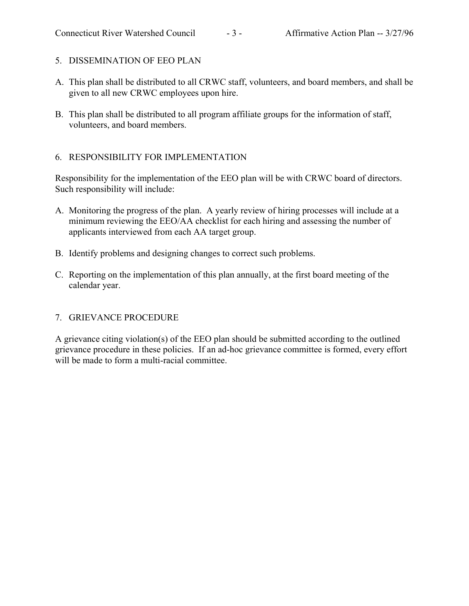- 5. DISSEMINATION OF EEO PLAN
- A. This plan shall be distributed to all CRWC staff, volunteers, and board members, and shall be given to all new CRWC employees upon hire.
- B. This plan shall be distributed to all program affiliate groups for the information of staff, volunteers, and board members.

#### 6. RESPONSIBILITY FOR IMPLEMENTATION

Responsibility for the implementation of the EEO plan will be with CRWC board of directors. Such responsibility will include:

- A. Monitoring the progress of the plan. A yearly review of hiring processes will include at a minimum reviewing the EEO/AA checklist for each hiring and assessing the number of applicants interviewed from each AA target group.
- B. Identify problems and designing changes to correct such problems.
- C. Reporting on the implementation of this plan annually, at the first board meeting of the calendar year.

### 7. GRIEVANCE PROCEDURE

A grievance citing violation(s) of the EEO plan should be submitted according to the outlined grievance procedure in these policies. If an ad-hoc grievance committee is formed, every effort will be made to form a multi-racial committee.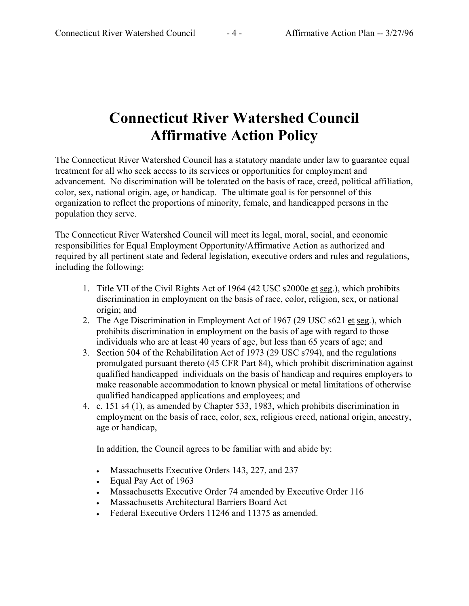# **Connecticut River Watershed Council Affirmative Action Policy**

The Connecticut River Watershed Council has a statutory mandate under law to guarantee equal treatment for all who seek access to its services or opportunities for employment and advancement. No discrimination will be tolerated on the basis of race, creed, political affiliation, color, sex, national origin, age, or handicap. The ultimate goal is for personnel of this organization to reflect the proportions of minority, female, and handicapped persons in the population they serve.

The Connecticut River Watershed Council will meet its legal, moral, social, and economic responsibilities for Equal Employment Opportunity/Affirmative Action as authorized and required by all pertinent state and federal legislation, executive orders and rules and regulations, including the following:

- 1. Title VII of the Civil Rights Act of 1964 (42 USC s2000e et seg.), which prohibits discrimination in employment on the basis of race, color, religion, sex, or national origin; and
- 2. The Age Discrimination in Employment Act of 1967 (29 USC s621 et seg.), which prohibits discrimination in employment on the basis of age with regard to those individuals who are at least 40 years of age, but less than 65 years of age; and
- 3. Section 504 of the Rehabilitation Act of 1973 (29 USC s794), and the regulations promulgated pursuant thereto (45 CFR Part 84), which prohibit discrimination against qualified handicapped individuals on the basis of handicap and requires employers to make reasonable accommodation to known physical or metal limitations of otherwise qualified handicapped applications and employees; and
- 4. c. 151 s4 (1), as amended by Chapter 533, 1983, which prohibits discrimination in employment on the basis of race, color, sex, religious creed, national origin, ancestry, age or handicap,

In addition, the Council agrees to be familiar with and abide by:

- Massachusetts Executive Orders 143, 227, and 237
- Equal Pay Act of 1963
- Massachusetts Executive Order 74 amended by Executive Order 116
- Massachusetts Architectural Barriers Board Act
- Federal Executive Orders 11246 and 11375 as amended.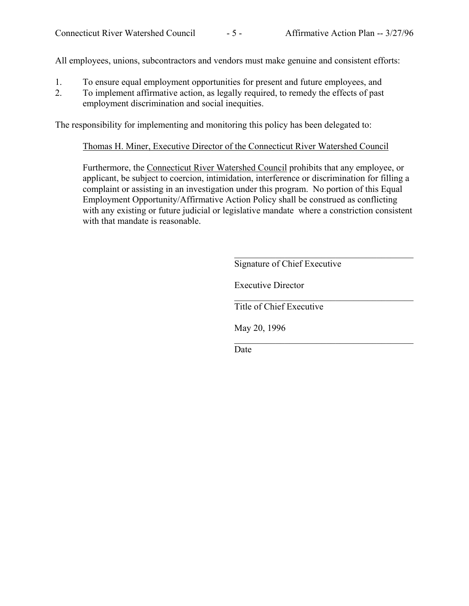All employees, unions, subcontractors and vendors must make genuine and consistent efforts:

- 1. To ensure equal employment opportunities for present and future employees, and
- 2. To implement affirmative action, as legally required, to remedy the effects of past employment discrimination and social inequities.

The responsibility for implementing and monitoring this policy has been delegated to:

Thomas H. Miner, Executive Director of the Connecticut River Watershed Council

Furthermore, the Connecticut River Watershed Council prohibits that any employee, or applicant, be subject to coercion, intimidation, interference or discrimination for filling a complaint or assisting in an investigation under this program. No portion of this Equal Employment Opportunity/Affirmative Action Policy shall be construed as conflicting with any existing or future judicial or legislative mandate where a constriction consistent with that mandate is reasonable.

Signature of Chief Executive

 $\mathcal{L}_\text{max}$  , and the set of the set of the set of the set of the set of the set of the set of the set of the set of the set of the set of the set of the set of the set of the set of the set of the set of the set of the

 $\mathcal{L}_\text{max}$  , and the set of the set of the set of the set of the set of the set of the set of the set of the set of the set of the set of the set of the set of the set of the set of the set of the set of the set of the

 $\mathcal{L}_\text{max}$  , and the set of the set of the set of the set of the set of the set of the set of the set of the set of the set of the set of the set of the set of the set of the set of the set of the set of the set of the

Executive Director

Title of Chief Executive

May 20, 1996

Date